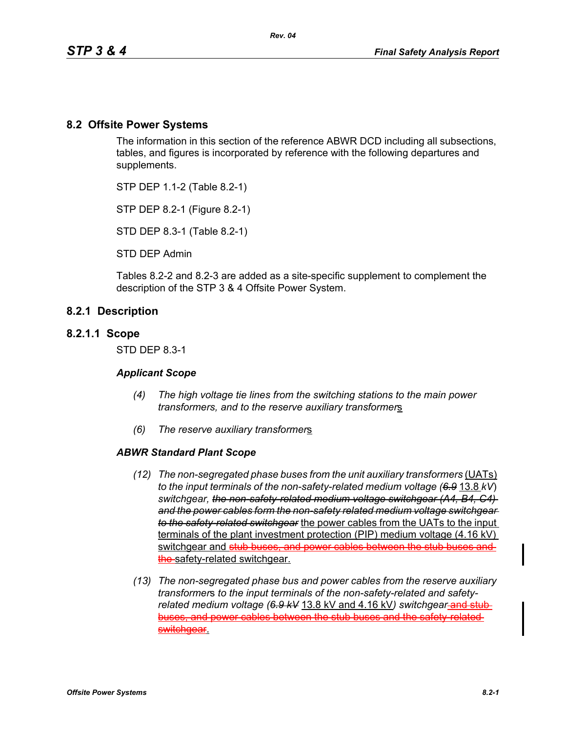## **8.2 Offsite Power Systems**

The information in this section of the reference ABWR DCD including all subsections, tables, and figures is incorporated by reference with the following departures and supplements.

STP DEP 1.1-2 (Table 8.2-1)

STP DEP 8.2-1 (Figure 8.2-1)

STD DEP 8.3-1 (Table 8.2-1)

STD DEP Admin

Tables 8.2-2 and 8.2-3 are added as a site-specific supplement to complement the description of the STP 3 & 4 Offsite Power System.

#### **8.2.1 Description**

#### **8.2.1.1 Scope**

STD DEP 8.3-1

#### *Applicant Scope*

- *(4) The high voltage tie lines from the switching stations to the main power transformers, and to the reserve auxiliary transformer*s
- *(6) The reserve auxiliary transformer*s

#### *ABWR Standard Plant Scope*

- *(12) The non-segregated phase buses from the unit auxiliary transformers* (UATs) *to the input terminals of the non-safety-related medium voltage (6.9* 13.8 *kV*) *switchgear, the non-safety-related medium voltage switchgear (A4, B4, C4) and the power cables form the non-safety related medium voltage switchgear to the safety-related switchgear* the power cables from the UATs to the input terminals of the plant investment protection (PIP) medium voltage (4.16 kV) switchgear and stub buses, and power cables betwe the safety-related switchgear.
- *(13) The non-segregated phase bus and power cables from the reserve auxiliary transformer*s *to the input terminals of the non-safety-related and safety*related medium voltage (6.9 kV 13.8 kV and 4.16 kV) switchgear-and stubbuses, and power cables between the stub buses and the safety-related switchgear.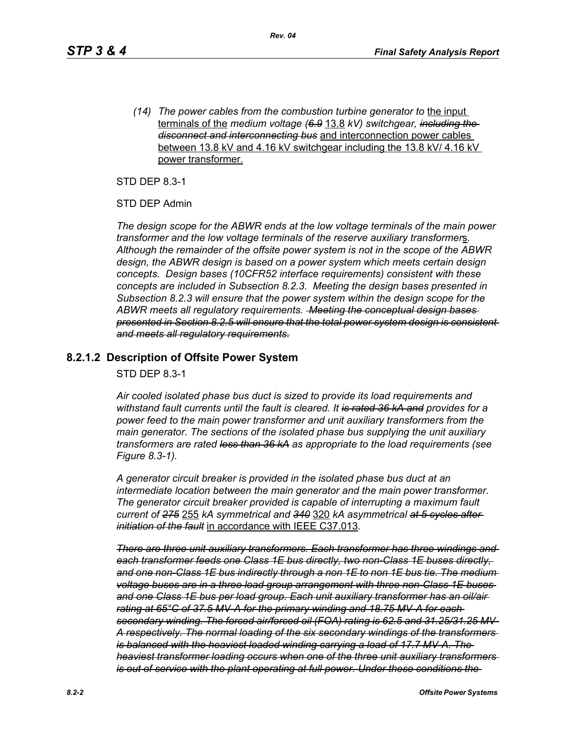*(14) The power cables from the combustion turbine generator to* the input terminals of the *medium voltage (6.9* 13.8 *kV) switchgear, including the disconnect and interconnecting bus* and interconnection power cables between 13.8 kV and 4.16 kV switchgear including the 13.8 kV/ 4.16 kV power transformer.

STD DEP 8.3-1

STD DEP Admin

*The design scope for the ABWR ends at the low voltage terminals of the main power transformer and the low voltage terminals of the reserve auxiliary transformer*s*. Although the remainder of the offsite power system is not in the scope of the ABWR design, the ABWR design is based on a power system which meets certain design concepts. Design bases (10CFR52 interface requirements) consistent with these concepts are included in Subsection 8.2.3. Meeting the design bases presented in Subsection 8.2.3 will ensure that the power system within the design scope for the ABWR meets all regulatory requirements. Meeting the conceptual design bases presented in Section 8.2.5 will ensure that the total power system design is consistent and meets all regulatory requirements.*

### **8.2.1.2 Description of Offsite Power System**

STD DEP 8.3-1

*Air cooled isolated phase bus duct is sized to provide its load requirements and withstand fault currents until the fault is cleared. It is rated 36 kA and provides for a power feed to the main power transformer and unit auxiliary transformers from the main generator. The sections of the isolated phase bus supplying the unit auxiliary transformers are rated less than 36 kA as appropriate to the load requirements (see Figure 8.3-1).* 

*A generator circuit breaker is provided in the isolated phase bus duct at an intermediate location between the main generator and the main power transformer. The generator circuit breaker provided is capable of interrupting a maximum fault current of 275* 255 *kA symmetrical and 340* 320 *kA asymmetrical at 5 cycles after initiation of the fault* in accordance with IEEE C37.013*.*

*There are three unit auxiliary transformers. Each transformer has three windings and each transformer feeds one Class 1E bus directly, two non-Class 1E buses directly, and one non-Class 1E bus indirectly through a non 1E to non 1E bus tie. The medium voltage buses are in a three load group arrangement with three non-Class 1E buses and one Class 1E bus per load group. Each unit auxiliary transformer has an oil/air rating at 65°C of 37.5 MV-A for the primary winding and 18.75 MV-A for each secondary winding. The forced air/forced oil (FOA) rating is 62.5 and 31.25/31.25 MV-A respectively. The normal loading of the six secondary windings of the transformers is balanced with the heaviest loaded winding carrying a load of 17.7 MV-A. The heaviest transformer loading occurs when one of the three unit auxiliary transformers is out of service with the plant operating at full power. Under these conditions the*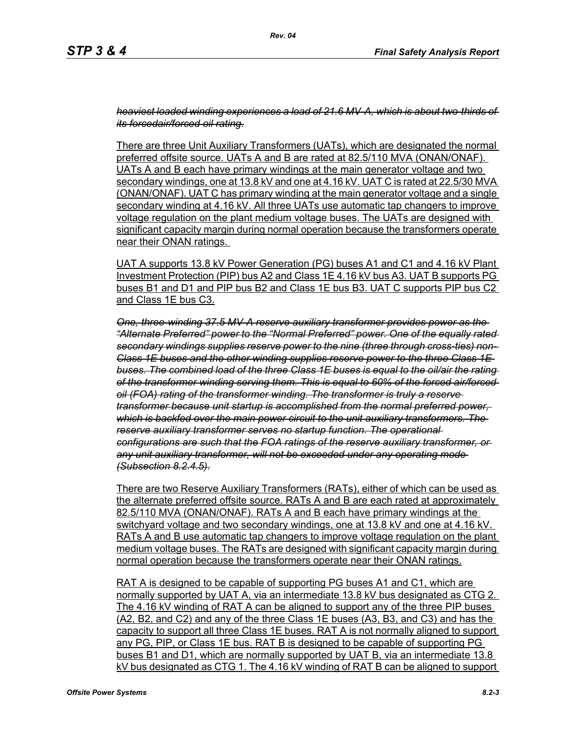*heaviest loaded winding experiences a load of 21.6 MV-A, which is about two-thirds of its forcedair/forced oil rating.*

There are three Unit Auxiliary Transformers (UATs), which are designated the normal preferred offsite source. UATs A and B are rated at 82.5/110 MVA (ONAN/ONAF). UATs A and B each have primary windings at the main generator voltage and two secondary windings, one at 13.8 kV and one at 4.16 kV. UAT C is rated at 22.5/30 MVA (ONAN/ONAF). UAT C has primary winding at the main generator voltage and a single secondary winding at 4.16 kV. All three UATs use automatic tap changers to improve voltage regulation on the plant medium voltage buses. The UATs are designed with significant capacity margin during normal operation because the transformers operate near their ONAN ratings.

UAT A supports 13.8 kV Power Generation (PG) buses A1 and C1 and 4.16 kV Plant Investment Protection (PIP) bus A2 and Class 1E 4.16 kV bus A3. UAT B supports PG buses B1 and D1 and PIP bus B2 and Class 1E bus B3. UAT C supports PIP bus C2 and Class 1E bus C3.

*One, three-winding 37.5 MV-A reserve auxiliary transformer provides power as the "Alternate Preferred" power to the "Normal Preferred" power. One of the equally rated secondary windings supplies reserve power to the nine (three through cross-ties) non-Class 1E buses and the other winding supplies reserve power to the three Class 1E buses. The combined load of the three Class 1E buses is equal to the oil/air the rating of the transformer winding serving them. This is equal to 60% of the forced air/forced oil (FOA) rating of the transformer winding. The transformer is truly a reserve transformer because unit startup is accomplished from the normal preferred power, which is backfed over the main power circuit to the unit auxiliary transformers. The reserve auxiliary transformer serves no startup function. The operational configurations are such that the FOA ratings of the reserve auxiliary transformer, or any unit auxiliary transformer, will not be exceeded under any operating mode (Subsection 8.2.4.5).*

There are two Reserve Auxiliary Transformers (RATs), either of which can be used as the alternate preferred offsite source. RATs A and B are each rated at approximately 82.5/110 MVA (ONAN/ONAF). RATs A and B each have primary windings at the switchyard voltage and two secondary windings, one at 13.8 kV and one at 4.16 kV. RATs A and B use automatic tap changers to improve voltage regulation on the plant medium voltage buses. The RATs are designed with significant capacity margin during normal operation because the transformers operate near their ONAN ratings.

RAT A is designed to be capable of supporting PG buses A1 and C1, which are normally supported by UAT A, via an intermediate 13.8 kV bus designated as CTG 2. The 4.16 kV winding of RAT A can be aligned to support any of the three PIP buses (A2, B2, and C2) and any of the three Class 1E buses (A3, B3, and C3) and has the capacity to support all three Class 1E buses. RAT A is not normally aligned to support any PG, PIP, or Class 1E bus. RAT B is designed to be capable of supporting PG buses B1 and D1, which are normally supported by UAT B, via an intermediate 13.8 kV bus designated as CTG 1. The 4.16 kV winding of RAT B can be aligned to support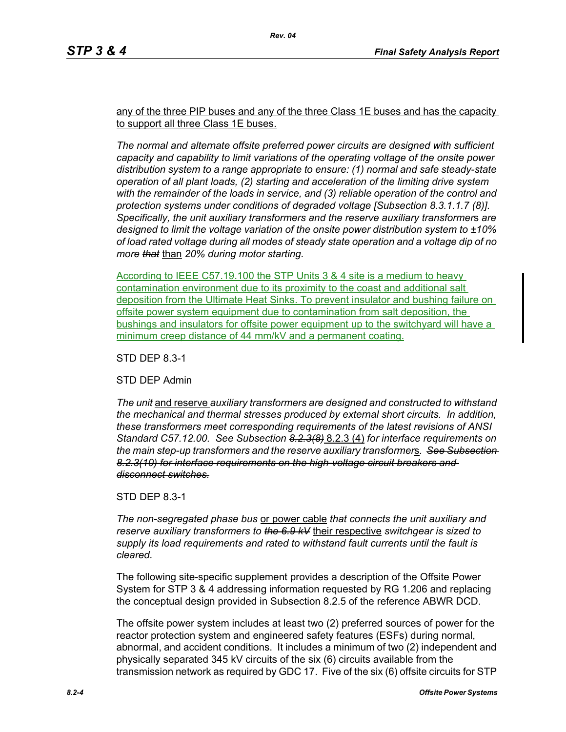any of the three PIP buses and any of the three Class 1E buses and has the capacity to support all three Class 1E buses.

*The normal and alternate offsite preferred power circuits are designed with sufficient capacity and capability to limit variations of the operating voltage of the onsite power distribution system to a range appropriate to ensure: (1) normal and safe steady-state operation of all plant loads, (2) starting and acceleration of the limiting drive system with the remainder of the loads in service, and (3) reliable operation of the control and protection systems under conditions of degraded voltage [Subsection 8.3.1.1.7 (8)]. Specifically, the unit auxiliary transformers and the reserve auxiliary transformer*s *are designed to limit the voltage variation of the onsite power distribution system to ±10% of load rated voltage during all modes of steady state operation and a voltage dip of no more that* than *20% during motor starting.*

According to IEEE C57.19.100 the STP Units 3 & 4 site is a medium to heavy contamination environment due to its proximity to the coast and additional salt deposition from the Ultimate Heat Sinks. To prevent insulator and bushing failure on offsite power system equipment due to contamination from salt deposition, the bushings and insulators for offsite power equipment up to the switchyard will have a minimum creep distance of 44 mm/kV and a permanent coating.

STD DEP 8.3-1

STD DEP Admin

*The unit* and reserve *auxiliary transformers are designed and constructed to withstand the mechanical and thermal stresses produced by external short circuits. In addition, these transformers meet corresponding requirements of the latest revisions of ANSI Standard C57.12.00. See Subsection 8.2.3(8)* 8.2.3 (4) *for interface requirements on the main step-up transformers and the reserve auxiliary transformer*s*. See Subsection 8.2.3(10) for interface requirements on the high-voltage circuit breakers and disconnect switches.*

STD DEP 8.3-1

*The non-segregated phase bus* or power cable *that connects the unit auxiliary and reserve auxiliary transformers to the 6.9 kV* their respective *switchgear is sized to supply its load requirements and rated to withstand fault currents until the fault is cleared.*

The following site-specific supplement provides a description of the Offsite Power System for STP 3 & 4 addressing information requested by RG 1.206 and replacing the conceptual design provided in Subsection 8.2.5 of the reference ABWR DCD.

The offsite power system includes at least two (2) preferred sources of power for the reactor protection system and engineered safety features (ESFs) during normal, abnormal, and accident conditions. It includes a minimum of two (2) independent and physically separated 345 kV circuits of the six (6) circuits available from the transmission network as required by GDC 17. Five of the six (6) offsite circuits for STP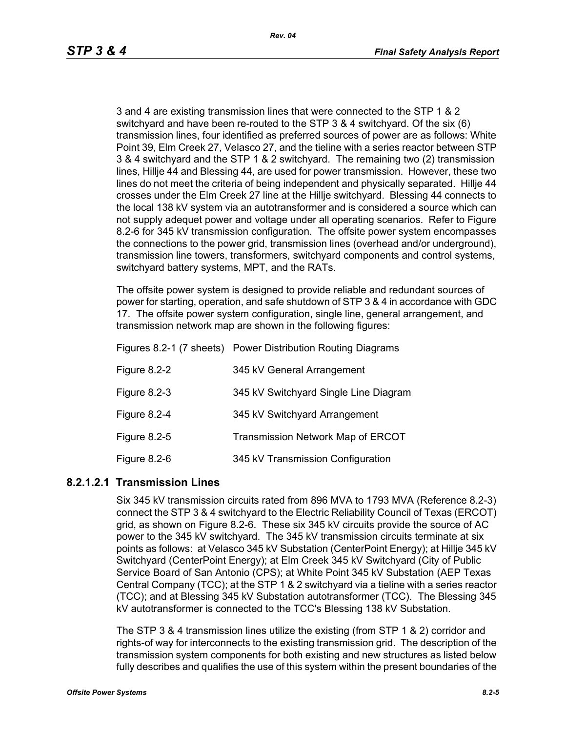3 and 4 are existing transmission lines that were connected to the STP 1 & 2 switchyard and have been re-routed to the STP 3 & 4 switchyard. Of the six (6) transmission lines, four identified as preferred sources of power are as follows: White Point 39, Elm Creek 27, Velasco 27, and the tieline with a series reactor between STP 3 & 4 switchyard and the STP 1 & 2 switchyard. The remaining two (2) transmission lines, Hillje 44 and Blessing 44, are used for power transmission. However, these two lines do not meet the criteria of being independent and physically separated. Hillje 44 crosses under the Elm Creek 27 line at the Hillje switchyard. Blessing 44 connects to the local 138 kV system via an autotransformer and is considered a source which can not supply adequet power and voltage under all operating scenarios. Refer to Figure 8.2-6 for 345 kV transmission configuration. The offsite power system encompasses the connections to the power grid, transmission lines (overhead and/or underground), transmission line towers, transformers, switchyard components and control systems, switchyard battery systems, MPT, and the RATs.

The offsite power system is designed to provide reliable and redundant sources of power for starting, operation, and safe shutdown of STP 3 & 4 in accordance with GDC 17. The offsite power system configuration, single line, general arrangement, and transmission network map are shown in the following figures:

|                     | Figures 8.2-1 (7 sheets) Power Distribution Routing Diagrams |
|---------------------|--------------------------------------------------------------|
| Figure 8.2-2        | 345 kV General Arrangement                                   |
| <b>Figure 8.2-3</b> | 345 kV Switchyard Single Line Diagram                        |
| Figure 8.2-4        | 345 kV Switchyard Arrangement                                |
| <b>Figure 8.2-5</b> | Transmission Network Map of ERCOT                            |
| <b>Figure 8.2-6</b> | 345 kV Transmission Configuration                            |

#### **8.2.1.2.1 Transmission Lines**

Six 345 kV transmission circuits rated from 896 MVA to 1793 MVA (Reference 8.2-3) connect the STP 3 & 4 switchyard to the Electric Reliability Council of Texas (ERCOT) grid, as shown on Figure 8.2-6. These six 345 kV circuits provide the source of AC power to the 345 kV switchyard. The 345 kV transmission circuits terminate at six points as follows: at Velasco 345 kV Substation (CenterPoint Energy); at Hillje 345 kV Switchyard (CenterPoint Energy); at Elm Creek 345 kV Switchyard (City of Public Service Board of San Antonio (CPS); at White Point 345 kV Substation (AEP Texas Central Company (TCC); at the STP 1 & 2 switchyard via a tieline with a series reactor (TCC); and at Blessing 345 kV Substation autotransformer (TCC). The Blessing 345 kV autotransformer is connected to the TCC's Blessing 138 kV Substation.

The STP 3 & 4 transmission lines utilize the existing (from STP 1 & 2) corridor and rights-of way for interconnects to the existing transmission grid. The description of the transmission system components for both existing and new structures as listed below fully describes and qualifies the use of this system within the present boundaries of the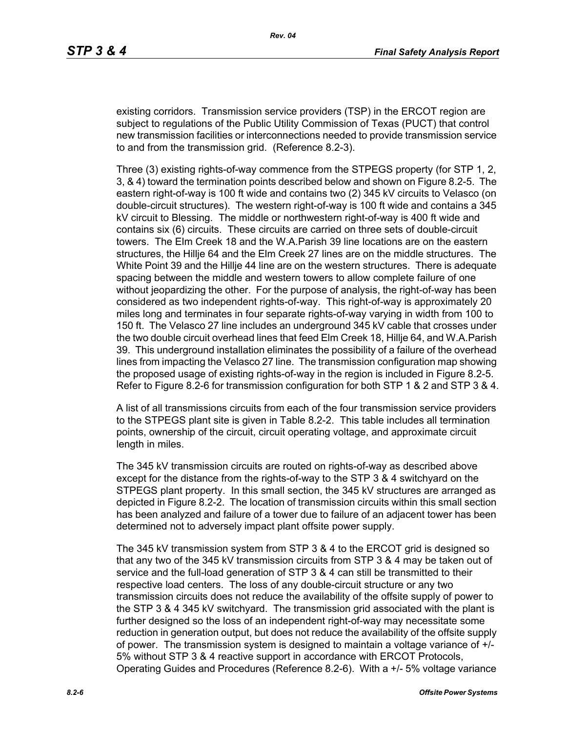existing corridors. Transmission service providers (TSP) in the ERCOT region are subject to regulations of the Public Utility Commission of Texas (PUCT) that control new transmission facilities or interconnections needed to provide transmission service to and from the transmission grid. (Reference 8.2-3).

Three (3) existing rights-of-way commence from the STPEGS property (for STP 1, 2, 3, & 4) toward the termination points described below and shown on Figure 8.2-5. The eastern right-of-way is 100 ft wide and contains two (2) 345 kV circuits to Velasco (on double-circuit structures). The western right-of-way is 100 ft wide and contains a 345 kV circuit to Blessing. The middle or northwestern right-of-way is 400 ft wide and contains six (6) circuits. These circuits are carried on three sets of double-circuit towers. The Elm Creek 18 and the W.A.Parish 39 line locations are on the eastern structures, the Hillje 64 and the Elm Creek 27 lines are on the middle structures. The White Point 39 and the Hillje 44 line are on the western structures. There is adequate spacing between the middle and western towers to allow complete failure of one without jeopardizing the other. For the purpose of analysis, the right-of-way has been considered as two independent rights-of-way. This right-of-way is approximately 20 miles long and terminates in four separate rights-of-way varying in width from 100 to 150 ft. The Velasco 27 line includes an underground 345 kV cable that crosses under the two double circuit overhead lines that feed Elm Creek 18, Hillje 64, and W.A.Parish 39. This underground installation eliminates the possibility of a failure of the overhead lines from impacting the Velasco 27 line. The transmission configuration map showing the proposed usage of existing rights-of-way in the region is included in Figure 8.2-5. Refer to Figure 8.2-6 for transmission configuration for both STP 1 & 2 and STP 3 & 4.

A list of all transmissions circuits from each of the four transmission service providers to the STPEGS plant site is given in Table 8.2-2. This table includes all termination points, ownership of the circuit, circuit operating voltage, and approximate circuit length in miles.

The 345 kV transmission circuits are routed on rights-of-way as described above except for the distance from the rights-of-way to the STP 3 & 4 switchyard on the STPEGS plant property. In this small section, the 345 kV structures are arranged as depicted in Figure 8.2-2. The location of transmission circuits within this small section has been analyzed and failure of a tower due to failure of an adjacent tower has been determined not to adversely impact plant offsite power supply.

The 345 kV transmission system from STP 3 & 4 to the ERCOT grid is designed so that any two of the 345 kV transmission circuits from STP 3 & 4 may be taken out of service and the full-load generation of STP 3 & 4 can still be transmitted to their respective load centers. The loss of any double-circuit structure or any two transmission circuits does not reduce the availability of the offsite supply of power to the STP 3 & 4 345 kV switchyard. The transmission grid associated with the plant is further designed so the loss of an independent right-of-way may necessitate some reduction in generation output, but does not reduce the availability of the offsite supply of power. The transmission system is designed to maintain a voltage variance of +/- 5% without STP 3 & 4 reactive support in accordance with ERCOT Protocols, Operating Guides and Procedures (Reference 8.2-6). With a +/- 5% voltage variance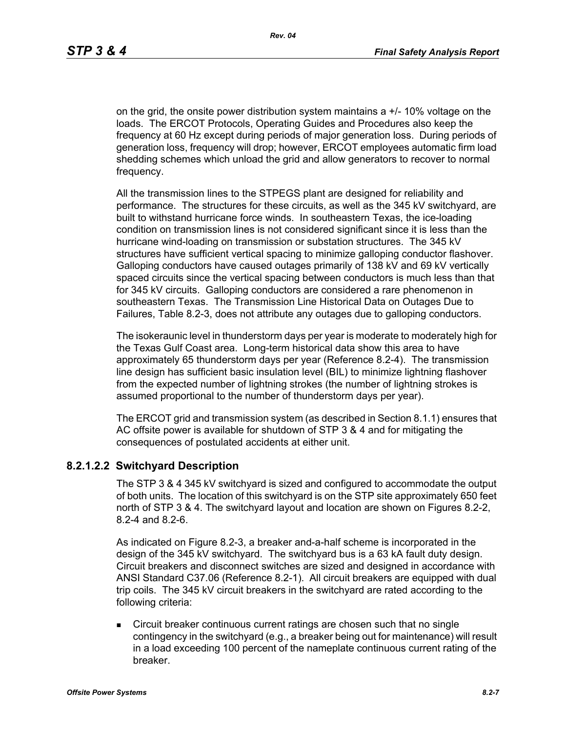on the grid, the onsite power distribution system maintains  $a +1$ -10% voltage on the loads. The ERCOT Protocols, Operating Guides and Procedures also keep the frequency at 60 Hz except during periods of major generation loss. During periods of generation loss, frequency will drop; however, ERCOT employees automatic firm load shedding schemes which unload the grid and allow generators to recover to normal frequency.

All the transmission lines to the STPEGS plant are designed for reliability and performance. The structures for these circuits, as well as the 345 kV switchyard, are built to withstand hurricane force winds. In southeastern Texas, the ice-loading condition on transmission lines is not considered significant since it is less than the hurricane wind-loading on transmission or substation structures. The 345 kV structures have sufficient vertical spacing to minimize galloping conductor flashover. Galloping conductors have caused outages primarily of 138 kV and 69 kV vertically spaced circuits since the vertical spacing between conductors is much less than that for 345 kV circuits. Galloping conductors are considered a rare phenomenon in southeastern Texas. The Transmission Line Historical Data on Outages Due to Failures, Table 8.2-3, does not attribute any outages due to galloping conductors.

The isokeraunic level in thunderstorm days per year is moderate to moderately high for the Texas Gulf Coast area. Long-term historical data show this area to have approximately 65 thunderstorm days per year (Reference 8.2-4). The transmission line design has sufficient basic insulation level (BIL) to minimize lightning flashover from the expected number of lightning strokes (the number of lightning strokes is assumed proportional to the number of thunderstorm days per year).

The ERCOT grid and transmission system (as described in Section 8.1.1) ensures that AC offsite power is available for shutdown of STP 3 & 4 and for mitigating the consequences of postulated accidents at either unit.

#### **8.2.1.2.2 Switchyard Description**

The STP 3 & 4 345 kV switchyard is sized and configured to accommodate the output of both units. The location of this switchyard is on the STP site approximately 650 feet north of STP 3 & 4. The switchyard layout and location are shown on Figures 8.2-2, 8.2-4 and 8.2-6.

As indicated on Figure 8.2-3, a breaker and-a-half scheme is incorporated in the design of the 345 kV switchyard. The switchyard bus is a 63 kA fault duty design. Circuit breakers and disconnect switches are sized and designed in accordance with ANSI Standard C37.06 (Reference 8.2-1). All circuit breakers are equipped with dual trip coils. The 345 kV circuit breakers in the switchyard are rated according to the following criteria:

**Circuit breaker continuous current ratings are chosen such that no single** contingency in the switchyard (e.g., a breaker being out for maintenance) will result in a load exceeding 100 percent of the nameplate continuous current rating of the breaker.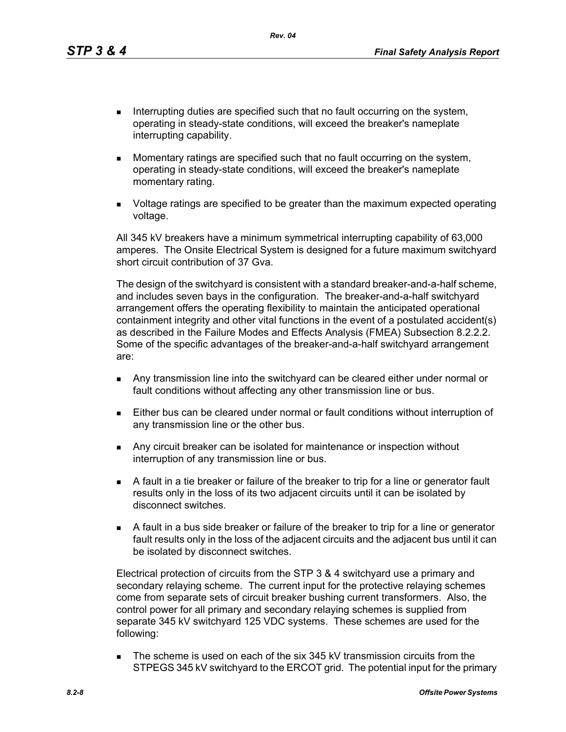*Rev. 04*

- Interrupting duties are specified such that no fault occurring on the system, operating in steady-state conditions, will exceed the breaker's nameplate interrupting capability.
- **Momentary ratings are specified such that no fault occurring on the system,** operating in steady-state conditions, will exceed the breaker's nameplate momentary rating.
- Voltage ratings are specified to be greater than the maximum expected operating voltage.

All 345 kV breakers have a minimum symmetrical interrupting capability of 63,000 amperes. The Onsite Electrical System is designed for a future maximum switchyard short circuit contribution of 37 Gva.

The design of the switchyard is consistent with a standard breaker-and-a-half scheme, and includes seven bays in the configuration. The breaker-and-a-half switchyard arrangement offers the operating flexibility to maintain the anticipated operational containment integrity and other vital functions in the event of a postulated accident(s) as described in the Failure Modes and Effects Analysis (FMEA) Subsection 8.2.2.2. Some of the specific advantages of the breaker-and-a-half switchyard arrangement are:

- Any transmission line into the switchyard can be cleared either under normal or fault conditions without affecting any other transmission line or bus.
- Either bus can be cleared under normal or fault conditions without interruption of any transmission line or the other bus.
- **Any circuit breaker can be isolated for maintenance or inspection without** interruption of any transmission line or bus.
- A fault in a tie breaker or failure of the breaker to trip for a line or generator fault results only in the loss of its two adjacent circuits until it can be isolated by disconnect switches.
- A fault in a bus side breaker or failure of the breaker to trip for a line or generator fault results only in the loss of the adjacent circuits and the adjacent bus until it can be isolated by disconnect switches.

Electrical protection of circuits from the STP 3 & 4 switchyard use a primary and secondary relaying scheme. The current input for the protective relaying schemes come from separate sets of circuit breaker bushing current transformers. Also, the control power for all primary and secondary relaying schemes is supplied from separate 345 kV switchyard 125 VDC systems. These schemes are used for the following:

The scheme is used on each of the six 345 kV transmission circuits from the STPEGS 345 kV switchyard to the ERCOT grid. The potential input for the primary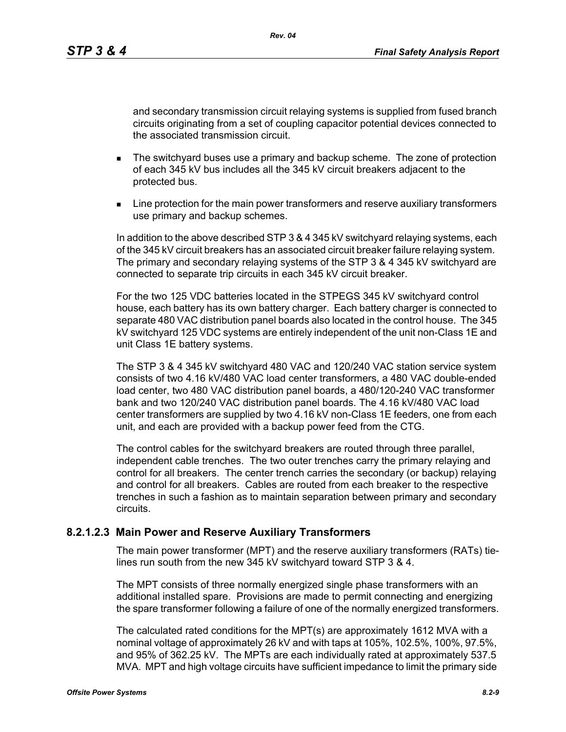and secondary transmission circuit relaying systems is supplied from fused branch circuits originating from a set of coupling capacitor potential devices connected to the associated transmission circuit.

- **The switchyard buses use a primary and backup scheme. The zone of protection** of each 345 kV bus includes all the 345 kV circuit breakers adjacent to the protected bus.
- **EXECT** Line protection for the main power transformers and reserve auxiliary transformers use primary and backup schemes.

In addition to the above described STP 3 & 4 345 kV switchyard relaying systems, each of the 345 kV circuit breakers has an associated circuit breaker failure relaying system. The primary and secondary relaying systems of the STP 3 & 4 345 kV switchyard are connected to separate trip circuits in each 345 kV circuit breaker.

For the two 125 VDC batteries located in the STPEGS 345 kV switchyard control house, each battery has its own battery charger. Each battery charger is connected to separate 480 VAC distribution panel boards also located in the control house. The 345 kV switchyard 125 VDC systems are entirely independent of the unit non-Class 1E and unit Class 1E battery systems.

The STP 3 & 4 345 kV switchyard 480 VAC and 120/240 VAC station service system consists of two 4.16 kV/480 VAC load center transformers, a 480 VAC double-ended load center, two 480 VAC distribution panel boards, a 480/120-240 VAC transformer bank and two 120/240 VAC distribution panel boards. The 4.16 kV/480 VAC load center transformers are supplied by two 4.16 kV non-Class 1E feeders, one from each unit, and each are provided with a backup power feed from the CTG.

The control cables for the switchyard breakers are routed through three parallel, independent cable trenches. The two outer trenches carry the primary relaying and control for all breakers. The center trench carries the secondary (or backup) relaying and control for all breakers. Cables are routed from each breaker to the respective trenches in such a fashion as to maintain separation between primary and secondary circuits.

#### **8.2.1.2.3 Main Power and Reserve Auxiliary Transformers**

The main power transformer (MPT) and the reserve auxiliary transformers (RATs) tielines run south from the new 345 kV switchyard toward STP 3 & 4.

The MPT consists of three normally energized single phase transformers with an additional installed spare. Provisions are made to permit connecting and energizing the spare transformer following a failure of one of the normally energized transformers.

The calculated rated conditions for the MPT(s) are approximately 1612 MVA with a nominal voltage of approximately 26 kV and with taps at 105%, 102.5%, 100%, 97.5%, and 95% of 362.25 kV. The MPTs are each individually rated at approximately 537.5 MVA. MPT and high voltage circuits have sufficient impedance to limit the primary side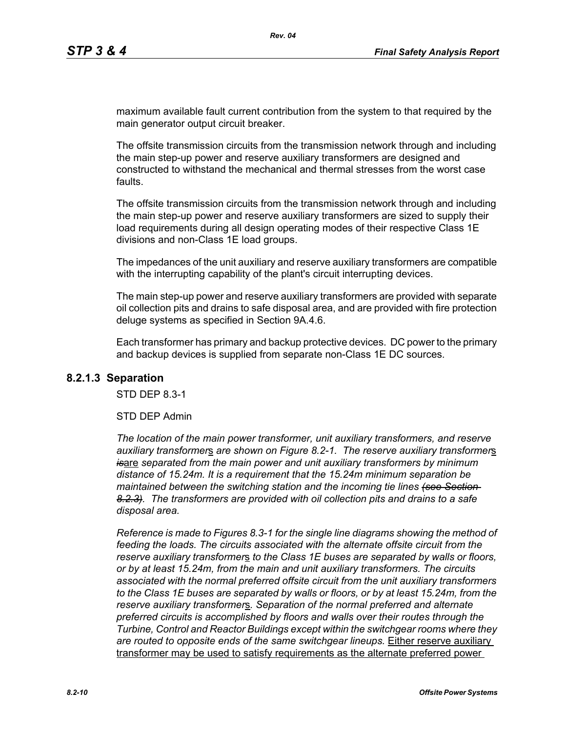maximum available fault current contribution from the system to that required by the main generator output circuit breaker.

The offsite transmission circuits from the transmission network through and including the main step-up power and reserve auxiliary transformers are designed and constructed to withstand the mechanical and thermal stresses from the worst case faults.

The offsite transmission circuits from the transmission network through and including the main step-up power and reserve auxiliary transformers are sized to supply their load requirements during all design operating modes of their respective Class 1E divisions and non-Class 1E load groups.

The impedances of the unit auxiliary and reserve auxiliary transformers are compatible with the interrupting capability of the plant's circuit interrupting devices.

The main step-up power and reserve auxiliary transformers are provided with separate oil collection pits and drains to safe disposal area, and are provided with fire protection deluge systems as specified in Section 9A.4.6.

Each transformer has primary and backup protective devices. DC power to the primary and backup devices is supplied from separate non-Class 1E DC sources.

#### **8.2.1.3 Separation**

STD DEP 8.3-1

#### STD DEP Admin

*The location of the main power transformer, unit auxiliary transformers, and reserve auxiliary transformer*s *are shown on Figure 8.2-1. The reserve auxiliary transformer*s *is*are *separated from the main power and unit auxiliary transformers by minimum distance of 15.24m. It is a requirement that the 15.24m minimum separation be maintained between the switching station and the incoming tie lines (see Section 8.2.3). The transformers are provided with oil collection pits and drains to a safe disposal area.*

*Reference is made to Figures 8.3-1 for the single line diagrams showing the method of feeding the loads. The circuits associated with the alternate offsite circuit from the reserve auxiliary transformer*s *to the Class 1E buses are separated by walls or floors, or by at least 15.24m, from the main and unit auxiliary transformers. The circuits associated with the normal preferred offsite circuit from the unit auxiliary transformers to the Class 1E buses are separated by walls or floors, or by at least 15.24m, from the reserve auxiliary transformer*s*. Separation of the normal preferred and alternate preferred circuits is accomplished by floors and walls over their routes through the Turbine, Control and Reactor Buildings except within the switchgear rooms where they*  are routed to opposite ends of the same switchgear lineups. Either reserve auxiliary transformer may be used to satisfy requirements as the alternate preferred power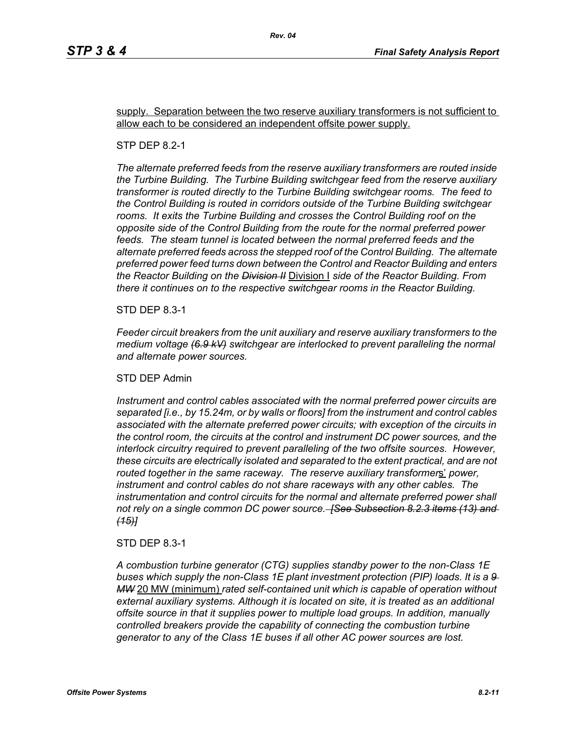supply. Separation between the two reserve auxiliary transformers is not sufficient to allow each to be considered an independent offsite power supply.

#### STP DEP 8.2-1

*The alternate preferred feeds from the reserve auxiliary transformers are routed inside the Turbine Building. The Turbine Building switchgear feed from the reserve auxiliary transformer is routed directly to the Turbine Building switchgear rooms. The feed to the Control Building is routed in corridors outside of the Turbine Building switchgear rooms. It exits the Turbine Building and crosses the Control Building roof on the opposite side of the Control Building from the route for the normal preferred power*  feeds. The steam tunnel is located between the normal preferred feeds and the *alternate preferred feeds across the stepped roof of the Control Building. The alternate preferred power feed turns down between the Control and Reactor Building and enters the Reactor Building on the Division II* Division I *side of the Reactor Building. From there it continues on to the respective switchgear rooms in the Reactor Building.*

STD DEP 8.3-1

*Feeder circuit breakers from the unit auxiliary and reserve auxiliary transformers to the medium voltage (6.9 kV) switchgear are interlocked to prevent paralleling the normal and alternate power sources.*

#### STD DEP Admin

*Instrument and control cables associated with the normal preferred power circuits are separated [i.e., by 15.24m, or by walls or floors] from the instrument and control cables associated with the alternate preferred power circuits; with exception of the circuits in the control room, the circuits at the control and instrument DC power sources, and the interlock circuitry required to prevent paralleling of the two offsite sources. However, these circuits are electrically isolated and separated to the extent practical, and are not routed together in the same raceway. The reserve auxiliary transformer*s' *power, instrument and control cables do not share raceways with any other cables. The*  instrumentation and control circuits for the normal and alternate preferred power shall *not rely on a single common DC power source. [See Subsection 8.2.3 items (13) and (15)]*

#### STD DEP 8.3-1

*A combustion turbine generator (CTG) supplies standby power to the non-Class 1E buses which supply the non-Class 1E plant investment protection (PIP) loads. It is a 9 MW* 20 MW (minimum) *rated self-contained unit which is capable of operation without external auxiliary systems. Although it is located on site, it is treated as an additional offsite source in that it supplies power to multiple load groups. In addition, manually controlled breakers provide the capability of connecting the combustion turbine generator to any of the Class 1E buses if all other AC power sources are lost.*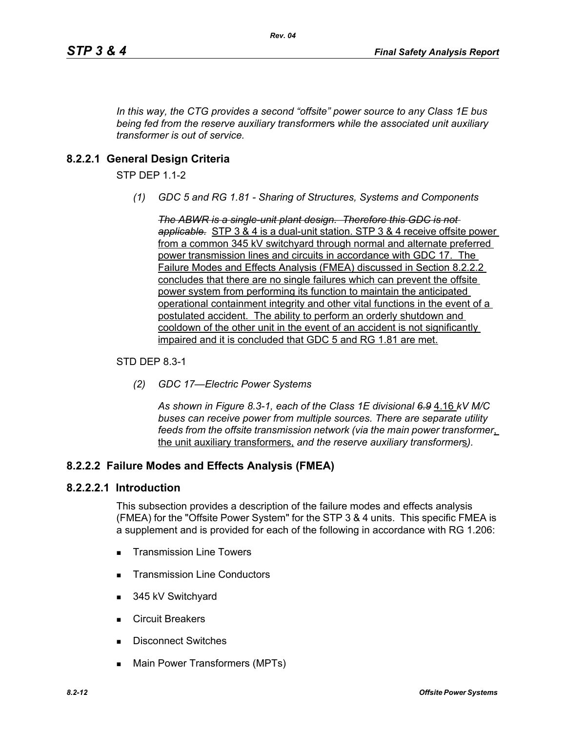*In this way, the CTG provides a second "offsite" power source to any Class 1E bus being fed from the reserve auxiliary transformer*s *while the associated unit auxiliary transformer is out of service.*

# **8.2.2.1 General Design Criteria**

STP DEP 1.1-2

*(1) GDC 5 and RG 1.81 - Sharing of Structures, Systems and Components*

*The ABWR is a single-unit plant design. Therefore this GDC is not applicable.* STP 3 & 4 is a dual-unit station. STP 3 & 4 receive offsite power from a common 345 kV switchyard through normal and alternate preferred power transmission lines and circuits in accordance with GDC 17. The Failure Modes and Effects Analysis (FMEA) discussed in Section 8.2.2.2 concludes that there are no single failures which can prevent the offsite power system from performing its function to maintain the anticipated operational containment integrity and other vital functions in the event of a postulated accident. The ability to perform an orderly shutdown and cooldown of the other unit in the event of an accident is not significantly impaired and it is concluded that GDC 5 and RG 1.81 are met.

### STD DEP 8.3-1

*(2) GDC 17—Electric Power Systems*

*As shown in Figure 8.3-1, each of the Class 1E divisional 6.9* 4.16 *kV M/C buses can receive power from multiple sources. There are separate utility feeds from the offsite transmission network (via the main power transformer*, the unit auxiliary transformers, *and the reserve auxiliary transformer*s*).*

## **8.2.2.2 Failure Modes and Effects Analysis (FMEA)**

#### **8.2.2.2.1 Introduction**

This subsection provides a description of the failure modes and effects analysis (FMEA) for the "Offsite Power System" for the STP 3 & 4 units. This specific FMEA is a supplement and is provided for each of the following in accordance with RG 1.206:

- **Transmission Line Towers**
- **Transmission Line Conductors**
- 345 kV Switchyard
- Circuit Breakers
- Disconnect Switches
- Main Power Transformers (MPTs)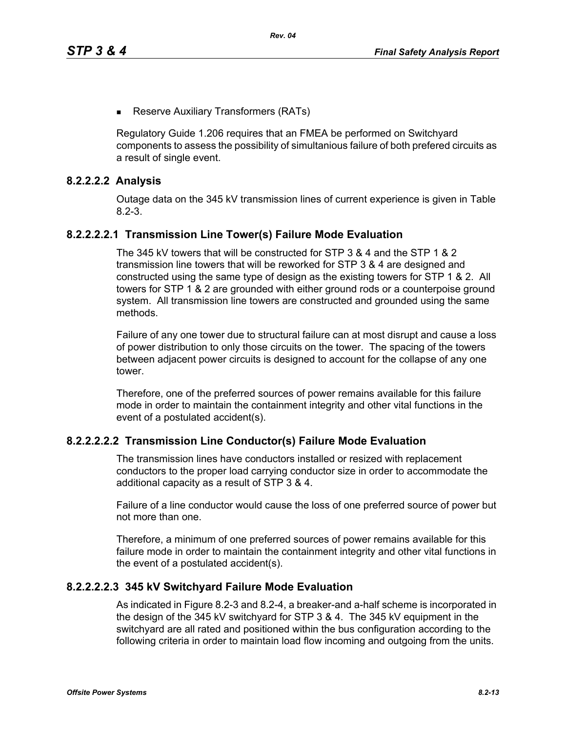**Reserve Auxiliary Transformers (RATs)** 

Regulatory Guide 1.206 requires that an FMEA be performed on Switchyard components to assess the possibility of simultanious failure of both prefered circuits as a result of single event.

#### **8.2.2.2.2 Analysis**

Outage data on the 345 kV transmission lines of current experience is given in Table 8.2-3.

### **8.2.2.2.2.1 Transmission Line Tower(s) Failure Mode Evaluation**

The 345 kV towers that will be constructed for STP 3 & 4 and the STP 1 & 2 transmission line towers that will be reworked for STP 3 & 4 are designed and constructed using the same type of design as the existing towers for STP 1 & 2. All towers for STP 1 & 2 are grounded with either ground rods or a counterpoise ground system. All transmission line towers are constructed and grounded using the same methods.

Failure of any one tower due to structural failure can at most disrupt and cause a loss of power distribution to only those circuits on the tower. The spacing of the towers between adjacent power circuits is designed to account for the collapse of any one tower.

Therefore, one of the preferred sources of power remains available for this failure mode in order to maintain the containment integrity and other vital functions in the event of a postulated accident(s).

#### **8.2.2.2.2.2 Transmission Line Conductor(s) Failure Mode Evaluation**

The transmission lines have conductors installed or resized with replacement conductors to the proper load carrying conductor size in order to accommodate the additional capacity as a result of STP 3 & 4.

Failure of a line conductor would cause the loss of one preferred source of power but not more than one.

Therefore, a minimum of one preferred sources of power remains available for this failure mode in order to maintain the containment integrity and other vital functions in the event of a postulated accident(s).

#### **8.2.2.2.2.3 345 kV Switchyard Failure Mode Evaluation**

As indicated in Figure 8.2-3 and 8.2-4, a breaker-and a-half scheme is incorporated in the design of the 345 kV switchyard for STP 3 & 4. The 345 kV equipment in the switchyard are all rated and positioned within the bus configuration according to the following criteria in order to maintain load flow incoming and outgoing from the units.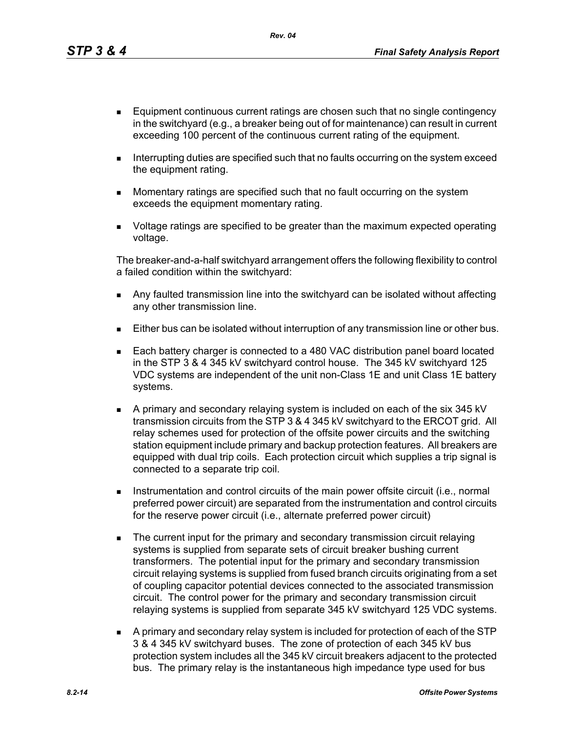*Rev. 04*

- **Equipment continuous current ratings are chosen such that no single contingency** in the switchyard (e.g., a breaker being out of for maintenance) can result in current exceeding 100 percent of the continuous current rating of the equipment.
- Interrupting duties are specified such that no faults occurring on the system exceed the equipment rating.
- **Momentary ratings are specified such that no fault occurring on the system** exceeds the equipment momentary rating.
- Voltage ratings are specified to be greater than the maximum expected operating voltage.

The breaker-and-a-half switchyard arrangement offers the following flexibility to control a failed condition within the switchyard:

- **Any faulted transmission line into the switchyard can be isolated without affecting** any other transmission line.
- **Either bus can be isolated without interruption of any transmission line or other bus.**
- Each battery charger is connected to a 480 VAC distribution panel board located in the STP 3 & 4 345 kV switchyard control house. The 345 kV switchyard 125 VDC systems are independent of the unit non-Class 1E and unit Class 1E battery systems.
- A primary and secondary relaying system is included on each of the six 345 kV transmission circuits from the STP 3 & 4 345 kV switchyard to the ERCOT grid. All relay schemes used for protection of the offsite power circuits and the switching station equipment include primary and backup protection features. All breakers are equipped with dual trip coils. Each protection circuit which supplies a trip signal is connected to a separate trip coil.
- **Instrumentation and control circuits of the main power offsite circuit (i.e., normal** preferred power circuit) are separated from the instrumentation and control circuits for the reserve power circuit (i.e., alternate preferred power circuit)
- **The current input for the primary and secondary transmission circuit relaying** systems is supplied from separate sets of circuit breaker bushing current transformers. The potential input for the primary and secondary transmission circuit relaying systems is supplied from fused branch circuits originating from a set of coupling capacitor potential devices connected to the associated transmission circuit. The control power for the primary and secondary transmission circuit relaying systems is supplied from separate 345 kV switchyard 125 VDC systems.
- A primary and secondary relay system is included for protection of each of the STP 3 & 4 345 kV switchyard buses. The zone of protection of each 345 kV bus protection system includes all the 345 kV circuit breakers adjacent to the protected bus. The primary relay is the instantaneous high impedance type used for bus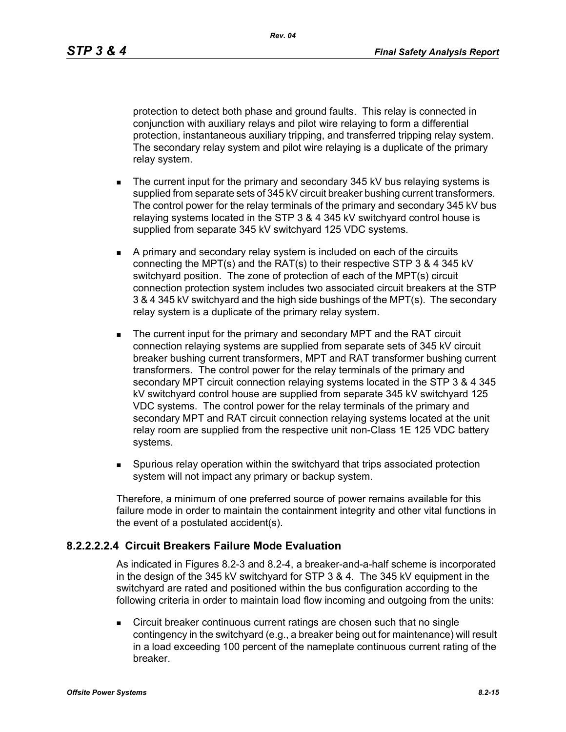protection to detect both phase and ground faults. This relay is connected in conjunction with auxiliary relays and pilot wire relaying to form a differential protection, instantaneous auxiliary tripping, and transferred tripping relay system. The secondary relay system and pilot wire relaying is a duplicate of the primary relay system.

- The current input for the primary and secondary 345 kV bus relaying systems is supplied from separate sets of 345 kV circuit breaker bushing current transformers. The control power for the relay terminals of the primary and secondary 345 kV bus relaying systems located in the STP 3 & 4 345 kV switchyard control house is supplied from separate 345 kV switchyard 125 VDC systems.
- A primary and secondary relay system is included on each of the circuits connecting the MPT(s) and the RAT(s) to their respective STP 3 & 4 345 kV switchyard position. The zone of protection of each of the MPT(s) circuit connection protection system includes two associated circuit breakers at the STP 3 & 4 345 kV switchyard and the high side bushings of the MPT(s). The secondary relay system is a duplicate of the primary relay system.
- The current input for the primary and secondary MPT and the RAT circuit connection relaying systems are supplied from separate sets of 345 kV circuit breaker bushing current transformers, MPT and RAT transformer bushing current transformers. The control power for the relay terminals of the primary and secondary MPT circuit connection relaying systems located in the STP 3 & 4 345 kV switchyard control house are supplied from separate 345 kV switchyard 125 VDC systems. The control power for the relay terminals of the primary and secondary MPT and RAT circuit connection relaying systems located at the unit relay room are supplied from the respective unit non-Class 1E 125 VDC battery systems.
- Spurious relay operation within the switchyard that trips associated protection system will not impact any primary or backup system.

Therefore, a minimum of one preferred source of power remains available for this failure mode in order to maintain the containment integrity and other vital functions in the event of a postulated accident(s).

#### **8.2.2.2.2.4 Circuit Breakers Failure Mode Evaluation**

As indicated in Figures 8.2-3 and 8.2-4, a breaker-and-a-half scheme is incorporated in the design of the 345 kV switchyard for STP 3 & 4. The 345 kV equipment in the switchyard are rated and positioned within the bus configuration according to the following criteria in order to maintain load flow incoming and outgoing from the units:

 Circuit breaker continuous current ratings are chosen such that no single contingency in the switchyard (e.g., a breaker being out for maintenance) will result in a load exceeding 100 percent of the nameplate continuous current rating of the breaker.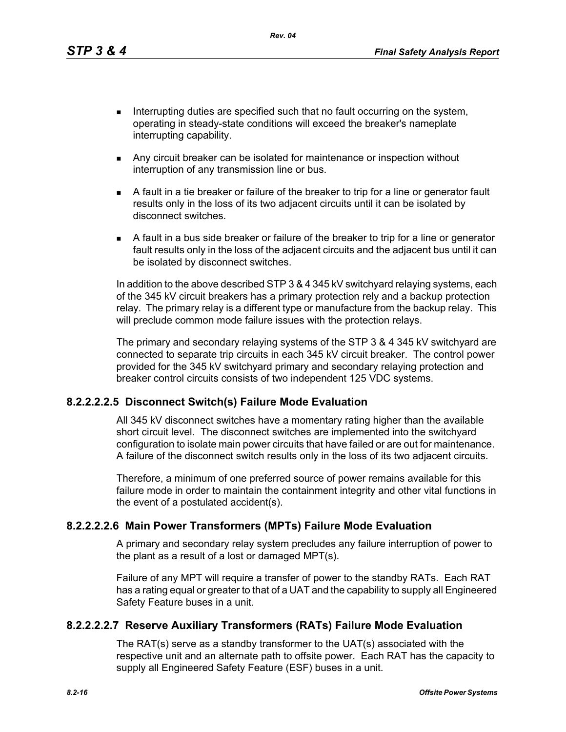*Rev. 04*

- Interrupting duties are specified such that no fault occurring on the system, operating in steady-state conditions will exceed the breaker's nameplate interrupting capability.
	- Any circuit breaker can be isolated for maintenance or inspection without interruption of any transmission line or bus.
	- A fault in a tie breaker or failure of the breaker to trip for a line or generator fault results only in the loss of its two adjacent circuits until it can be isolated by disconnect switches.
	- A fault in a bus side breaker or failure of the breaker to trip for a line or generator fault results only in the loss of the adjacent circuits and the adjacent bus until it can be isolated by disconnect switches.

In addition to the above described STP 3 & 4 345 kV switchyard relaying systems, each of the 345 kV circuit breakers has a primary protection rely and a backup protection relay. The primary relay is a different type or manufacture from the backup relay. This will preclude common mode failure issues with the protection relays.

The primary and secondary relaying systems of the STP 3 & 4 345 kV switchyard are connected to separate trip circuits in each 345 kV circuit breaker. The control power provided for the 345 kV switchyard primary and secondary relaying protection and breaker control circuits consists of two independent 125 VDC systems.

#### **8.2.2.2.2.5 Disconnect Switch(s) Failure Mode Evaluation**

All 345 kV disconnect switches have a momentary rating higher than the available short circuit level. The disconnect switches are implemented into the switchyard configuration to isolate main power circuits that have failed or are out for maintenance. A failure of the disconnect switch results only in the loss of its two adjacent circuits.

Therefore, a minimum of one preferred source of power remains available for this failure mode in order to maintain the containment integrity and other vital functions in the event of a postulated accident(s).

#### **8.2.2.2.2.6 Main Power Transformers (MPTs) Failure Mode Evaluation**

A primary and secondary relay system precludes any failure interruption of power to the plant as a result of a lost or damaged MPT(s).

Failure of any MPT will require a transfer of power to the standby RATs. Each RAT has a rating equal or greater to that of a UAT and the capability to supply all Engineered Safety Feature buses in a unit.

#### **8.2.2.2.2.7 Reserve Auxiliary Transformers (RATs) Failure Mode Evaluation**

The RAT(s) serve as a standby transformer to the UAT(s) associated with the respective unit and an alternate path to offsite power. Each RAT has the capacity to supply all Engineered Safety Feature (ESF) buses in a unit.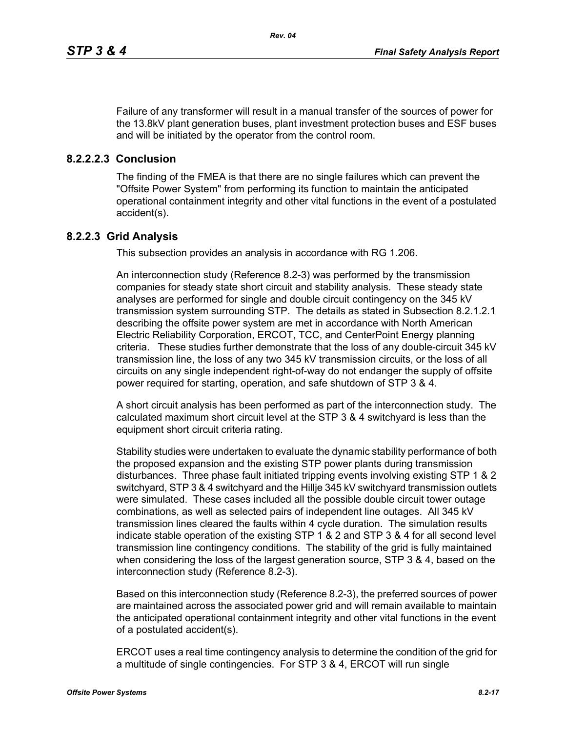Failure of any transformer will result in a manual transfer of the sources of power for the 13.8kV plant generation buses, plant investment protection buses and ESF buses and will be initiated by the operator from the control room.

### **8.2.2.2.3 Conclusion**

The finding of the FMEA is that there are no single failures which can prevent the "Offsite Power System" from performing its function to maintain the anticipated operational containment integrity and other vital functions in the event of a postulated accident(s).

### **8.2.2.3 Grid Analysis**

This subsection provides an analysis in accordance with RG 1.206.

An interconnection study (Reference 8.2-3) was performed by the transmission companies for steady state short circuit and stability analysis. These steady state analyses are performed for single and double circuit contingency on the 345 kV transmission system surrounding STP. The details as stated in Subsection 8.2.1.2.1 describing the offsite power system are met in accordance with North American Electric Reliability Corporation, ERCOT, TCC, and CenterPoint Energy planning criteria. These studies further demonstrate that the loss of any double-circuit 345 kV transmission line, the loss of any two 345 kV transmission circuits, or the loss of all circuits on any single independent right-of-way do not endanger the supply of offsite power required for starting, operation, and safe shutdown of STP 3 & 4.

A short circuit analysis has been performed as part of the interconnection study. The calculated maximum short circuit level at the STP 3 & 4 switchyard is less than the equipment short circuit criteria rating.

Stability studies were undertaken to evaluate the dynamic stability performance of both the proposed expansion and the existing STP power plants during transmission disturbances. Three phase fault initiated tripping events involving existing STP 1 & 2 switchyard, STP 3 & 4 switchyard and the Hillje 345 kV switchyard transmission outlets were simulated. These cases included all the possible double circuit tower outage combinations, as well as selected pairs of independent line outages. All 345 kV transmission lines cleared the faults within 4 cycle duration. The simulation results indicate stable operation of the existing STP 1 & 2 and STP 3 & 4 for all second level transmission line contingency conditions. The stability of the grid is fully maintained when considering the loss of the largest generation source, STP 3 & 4, based on the interconnection study (Reference 8.2-3).

Based on this interconnection study (Reference 8.2-3), the preferred sources of power are maintained across the associated power grid and will remain available to maintain the anticipated operational containment integrity and other vital functions in the event of a postulated accident(s).

ERCOT uses a real time contingency analysis to determine the condition of the grid for a multitude of single contingencies. For STP 3 & 4, ERCOT will run single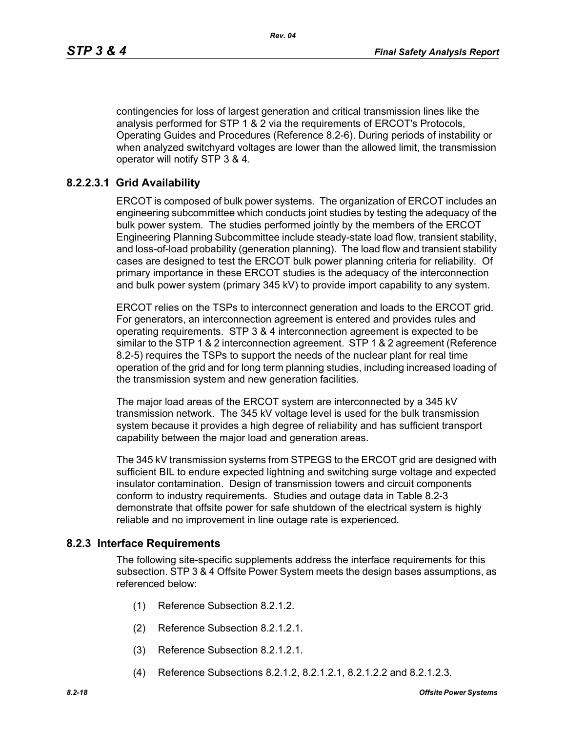contingencies for loss of largest generation and critical transmission lines like the analysis performed for STP 1 & 2 via the requirements of ERCOT's Protocols, Operating Guides and Procedures (Reference 8.2-6). During periods of instability or when analyzed switchyard voltages are lower than the allowed limit, the transmission operator will notify STP 3 & 4.

## **8.2.2.3.1 Grid Availability**

ERCOT is composed of bulk power systems. The organization of ERCOT includes an engineering subcommittee which conducts joint studies by testing the adequacy of the bulk power system. The studies performed jointly by the members of the ERCOT Engineering Planning Subcommittee include steady-state load flow, transient stability, and loss-of-load probability (generation planning). The load flow and transient stability cases are designed to test the ERCOT bulk power planning criteria for reliability. Of primary importance in these ERCOT studies is the adequacy of the interconnection and bulk power system (primary 345 kV) to provide import capability to any system.

ERCOT relies on the TSPs to interconnect generation and loads to the ERCOT grid. For generators, an interconnection agreement is entered and provides rules and operating requirements. STP 3 & 4 interconnection agreement is expected to be similar to the STP 1 & 2 interconnection agreement. STP 1 & 2 agreement (Reference 8.2-5) requires the TSPs to support the needs of the nuclear plant for real time operation of the grid and for long term planning studies, including increased loading of the transmission system and new generation facilities.

The major load areas of the ERCOT system are interconnected by a 345 kV transmission network. The 345 kV voltage level is used for the bulk transmission system because it provides a high degree of reliability and has sufficient transport capability between the major load and generation areas.

The 345 kV transmission systems from STPEGS to the ERCOT grid are designed with sufficient BIL to endure expected lightning and switching surge voltage and expected insulator contamination. Design of transmission towers and circuit components conform to industry requirements. Studies and outage data in Table 8.2-3 demonstrate that offsite power for safe shutdown of the electrical system is highly reliable and no improvement in line outage rate is experienced.

## **8.2.3 Interface Requirements**

The following site-specific supplements address the interface requirements for this subsection. STP 3 & 4 Offsite Power System meets the design bases assumptions, as referenced below:

- (1) Reference Subsection 8.2.1.2.
- (2) Reference Subsection 8.2.1.2.1.
- (3) Reference Subsection 8.2.1.2.1.
- (4) Reference Subsections 8.2.1.2, 8.2.1.2.1, 8.2.1.2.2 and 8.2.1.2.3.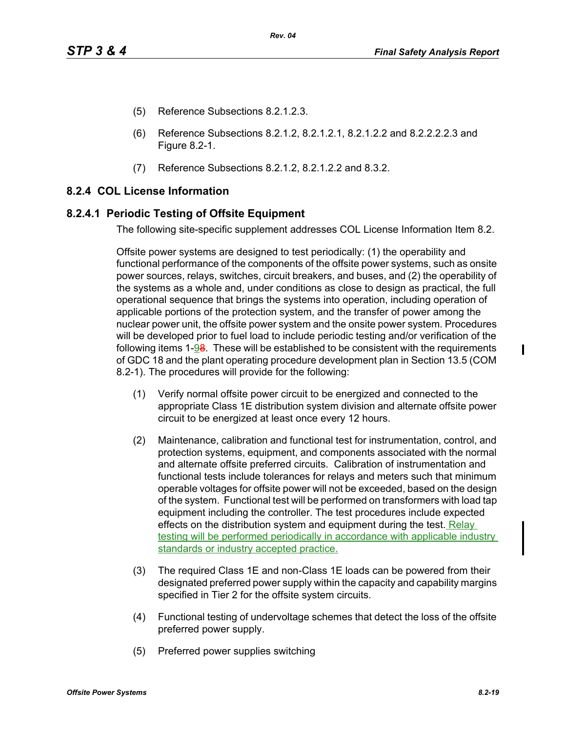- (5) Reference Subsections 8.2.1.2.3.
- (6) Reference Subsections 8.2.1.2, 8.2.1.2.1, 8.2.1.2.2 and 8.2.2.2.2.3 and Figure 8.2-1.
- (7) Reference Subsections 8.2.1.2, 8.2.1.2.2 and 8.3.2.

## **8.2.4 COL License Information**

#### **8.2.4.1 Periodic Testing of Offsite Equipment**

The following site-specific supplement addresses COL License Information Item 8.2.

Offsite power systems are designed to test periodically: (1) the operability and functional performance of the components of the offsite power systems, such as onsite power sources, relays, switches, circuit breakers, and buses, and (2) the operability of the systems as a whole and, under conditions as close to design as practical, the full operational sequence that brings the systems into operation, including operation of applicable portions of the protection system, and the transfer of power among the nuclear power unit, the offsite power system and the onsite power system. Procedures will be developed prior to fuel load to include periodic testing and/or verification of the following items 1-98. These will be established to be consistent with the requirements of GDC 18 and the plant operating procedure development plan in Section 13.5 (COM 8.2-1). The procedures will provide for the following:

- (1) Verify normal offsite power circuit to be energized and connected to the appropriate Class 1E distribution system division and alternate offsite power circuit to be energized at least once every 12 hours.
- (2) Maintenance, calibration and functional test for instrumentation, control, and protection systems, equipment, and components associated with the normal and alternate offsite preferred circuits. Calibration of instrumentation and functional tests include tolerances for relays and meters such that minimum operable voltages for offsite power will not be exceeded, based on the design of the system. Functional test will be performed on transformers with load tap equipment including the controller. The test procedures include expected effects on the distribution system and equipment during the test. Relay testing will be performed periodically in accordance with applicable industry standards or industry accepted practice.
- (3) The required Class 1E and non-Class 1E loads can be powered from their designated preferred power supply within the capacity and capability margins specified in Tier 2 for the offsite system circuits.
- (4) Functional testing of undervoltage schemes that detect the loss of the offsite preferred power supply.
- (5) Preferred power supplies switching

ı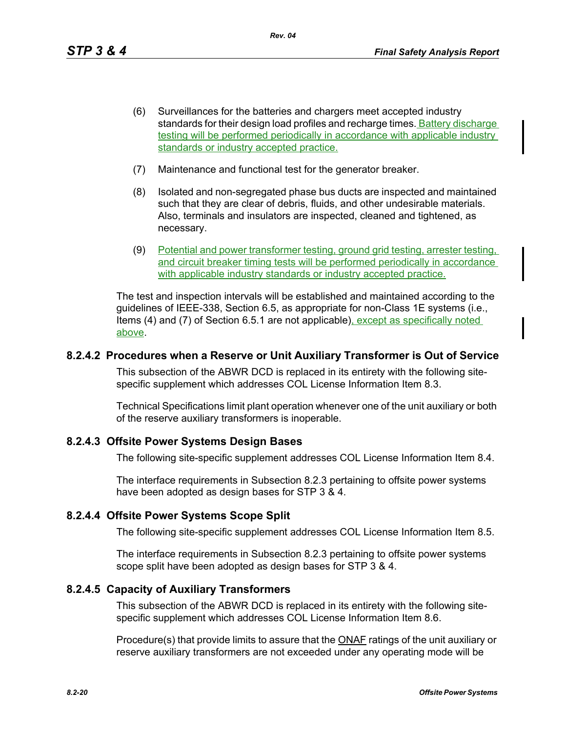- (6) Surveillances for the batteries and chargers meet accepted industry standards for their design load profiles and recharge times. Battery discharge testing will be performed periodically in accordance with applicable industry standards or industry accepted practice.
- (7) Maintenance and functional test for the generator breaker.
- (8) Isolated and non-segregated phase bus ducts are inspected and maintained such that they are clear of debris, fluids, and other undesirable materials. Also, terminals and insulators are inspected, cleaned and tightened, as necessary.
- (9) Potential and power transformer testing, ground grid testing, arrester testing, and circuit breaker timing tests will be performed periodically in accordance with applicable industry standards or industry accepted practice.

The test and inspection intervals will be established and maintained according to the guidelines of IEEE-338, Section 6.5, as appropriate for non-Class 1E systems (i.e., Items (4) and (7) of Section 6.5.1 are not applicable), except as specifically noted above.

### **8.2.4.2 Procedures when a Reserve or Unit Auxiliary Transformer is Out of Service**

This subsection of the ABWR DCD is replaced in its entirety with the following sitespecific supplement which addresses COL License Information Item 8.3.

Technical Specifications limit plant operation whenever one of the unit auxiliary or both of the reserve auxiliary transformers is inoperable.

#### **8.2.4.3 Offsite Power Systems Design Bases**

The following site-specific supplement addresses COL License Information Item 8.4.

The interface requirements in Subsection 8.2.3 pertaining to offsite power systems have been adopted as design bases for STP 3 & 4.

#### **8.2.4.4 Offsite Power Systems Scope Split**

The following site-specific supplement addresses COL License Information Item 8.5.

The interface requirements in Subsection 8.2.3 pertaining to offsite power systems scope split have been adopted as design bases for STP 3 & 4.

## **8.2.4.5 Capacity of Auxiliary Transformers**

This subsection of the ABWR DCD is replaced in its entirety with the following sitespecific supplement which addresses COL License Information Item 8.6.

Procedure(s) that provide limits to assure that the **ONAF** ratings of the unit auxiliary or reserve auxiliary transformers are not exceeded under any operating mode will be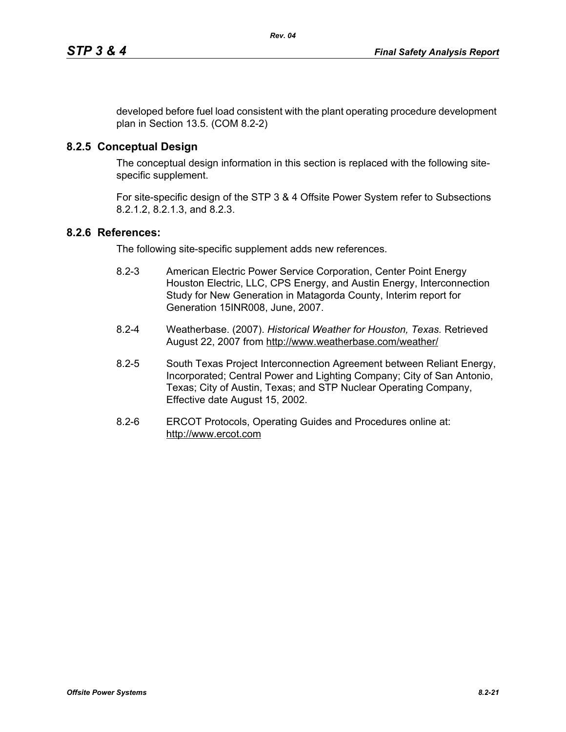developed before fuel load consistent with the plant operating procedure development plan in Section 13.5. (COM 8.2-2)

# **8.2.5 Conceptual Design**

The conceptual design information in this section is replaced with the following sitespecific supplement.

For site-specific design of the STP 3 & 4 Offsite Power System refer to Subsections 8.2.1.2, 8.2.1.3, and 8.2.3.

### **8.2.6 References:**

The following site-specific supplement adds new references.

- 8.2-3 American Electric Power Service Corporation, Center Point Energy Houston Electric, LLC, CPS Energy, and Austin Energy, Interconnection Study for New Generation in Matagorda County, Interim report for Generation 15INR008, June, 2007.
- 8.2-4 Weatherbase. (2007). *Historical Weather for Houston, Texas.* Retrieved August 22, 2007 from http://www.weatherbase.com/weather/
- 8.2-5 South Texas Project Interconnection Agreement between Reliant Energy, Incorporated; Central Power and Lighting Company; City of San Antonio, Texas; City of Austin, Texas; and STP Nuclear Operating Company, Effective date August 15, 2002.
- 8.2-6 ERCOT Protocols, Operating Guides and Procedures online at: http://www.ercot.com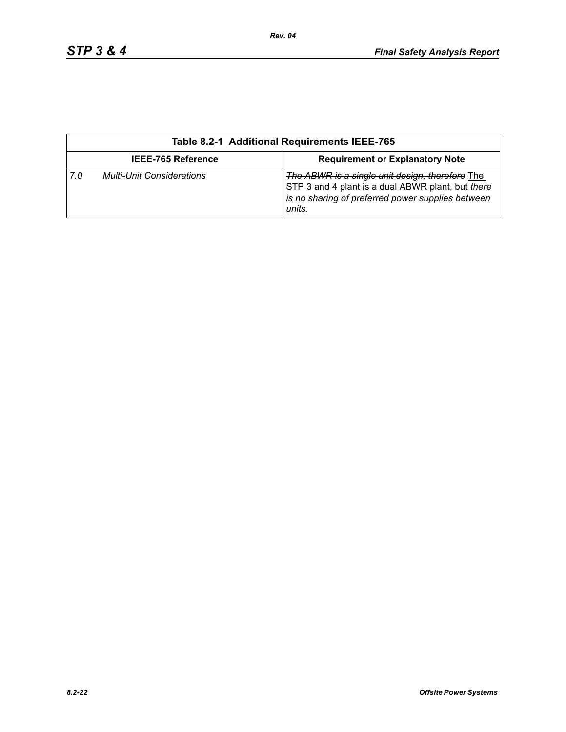|                           | Table 8.2-1 Additional Requirements IEEE-765 |                                                                                                                                                                     |  |  |  |  |
|---------------------------|----------------------------------------------|---------------------------------------------------------------------------------------------------------------------------------------------------------------------|--|--|--|--|
| <b>IEEE-765 Reference</b> |                                              | <b>Requirement or Explanatory Note</b>                                                                                                                              |  |  |  |  |
| 7.0                       | <b>Multi-Unit Considerations</b>             | The ABWR is a single unit design, therefore The<br>STP 3 and 4 plant is a dual ABWR plant, but there<br>is no sharing of preferred power supplies between<br>units. |  |  |  |  |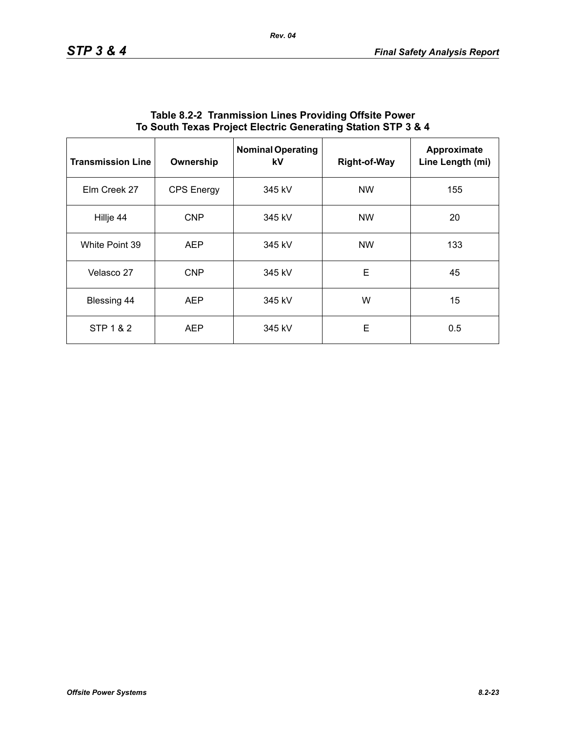| <b>Transmission Line</b> | Ownership         | <b>Nominal Operating</b><br>kV | <b>Right-of-Way</b> | Approximate<br>Line Length (mi) |
|--------------------------|-------------------|--------------------------------|---------------------|---------------------------------|
| Elm Creek 27             | <b>CPS Energy</b> | 345 kV                         | <b>NW</b>           | 155                             |
| Hillje 44                | <b>CNP</b>        | 345 kV                         | <b>NW</b>           | 20                              |
| White Point 39           | <b>AEP</b>        | 345 kV                         | <b>NW</b>           | 133                             |
| Velasco 27               | <b>CNP</b>        | 345 kV                         | E                   | 45                              |
| Blessing 44              | <b>AEP</b>        | 345 kV                         | W                   | 15                              |
| STP 1 & 2                | <b>AEP</b>        | 345 kV                         | E                   | 0.5                             |

#### **Table 8.2-2 Tranmission Lines Providing Offsite Power To South Texas Project Electric Generating Station STP 3 & 4**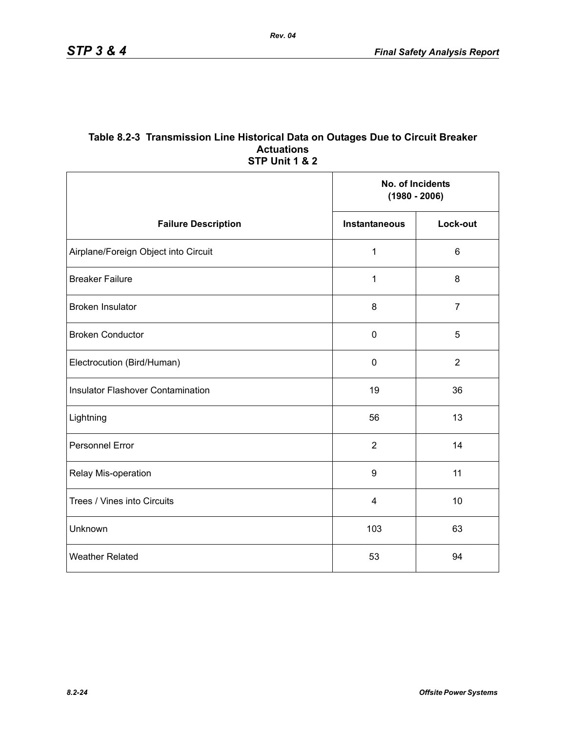#### **Table 8.2-3 Transmission Line Historical Data on Outages Due to Circuit Breaker Actuations STP Unit 1 & 2**

|                                          | No. of Incidents<br>$(1980 - 2006)$ |                |
|------------------------------------------|-------------------------------------|----------------|
| <b>Failure Description</b>               | <b>Instantaneous</b>                | Lock-out       |
| Airplane/Foreign Object into Circuit     | 1                                   | $6\phantom{1}$ |
| <b>Breaker Failure</b>                   | 1                                   | 8              |
| <b>Broken Insulator</b>                  | 8                                   | $\overline{7}$ |
| <b>Broken Conductor</b>                  | $\mathbf 0$                         | 5              |
| Electrocution (Bird/Human)               | $\pmb{0}$                           | $\overline{2}$ |
| <b>Insulator Flashover Contamination</b> | 19                                  | 36             |
| Lightning                                | 56                                  | 13             |
| <b>Personnel Error</b>                   | $\overline{2}$                      | 14             |
| Relay Mis-operation                      | 9                                   | 11             |
| Trees / Vines into Circuits              | 4                                   | 10             |
| Unknown                                  | 103                                 | 63             |
| <b>Weather Related</b>                   | 53                                  | 94             |